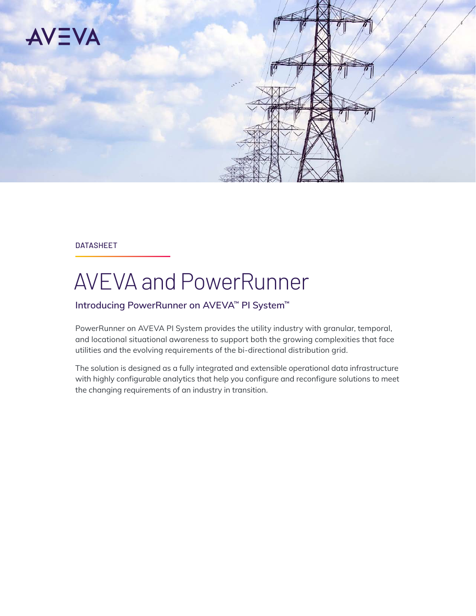

#### DATASHEET

# AVEVA and PowerRunner

### **Introducing PowerRunner on AVEVA™ PI System™**

PowerRunner on AVEVA PI System provides the utility industry with granular, temporal, and locational situational awareness to support both the growing complexities that face utilities and the evolving requirements of the bi-directional distribution grid.

The solution is designed as a fully integrated and extensible operational data infrastructure with highly configurable analytics that help you configure and reconfigure solutions to meet the changing requirements of an industry in transition.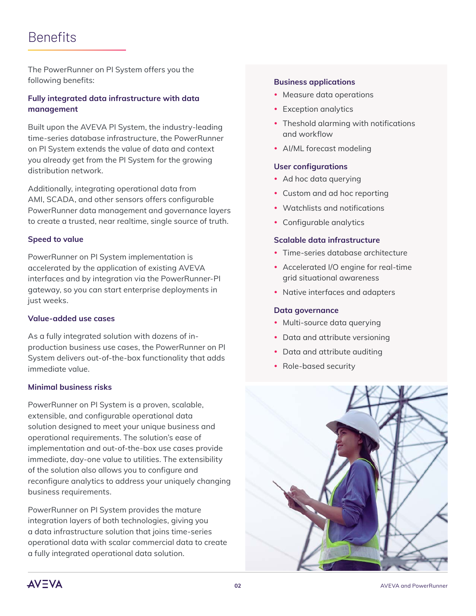# **Benefits**

The PowerRunner on PI System offers you the following benefits:

### **Fully integrated data infrastructure with data management**

Built upon the AVEVA PI System, the industry-leading time-series database infrastructure, the PowerRunner on PI System extends the value of data and context you already get from the PI System for the growing distribution network.

Additionally, integrating operational data from AMI, SCADA, and other sensors offers configurable PowerRunner data management and governance layers to create a trusted, near realtime, single source of truth.

#### **Speed to value**

PowerRunner on PI System implementation is accelerated by the application of existing AVEVA interfaces and by integration via the PowerRunner-PI gateway, so you can start enterprise deployments in just weeks.

#### **Value-added use cases**

As a fully integrated solution with dozens of inproduction business use cases, the PowerRunner on PI System delivers out-of-the-box functionality that adds immediate value.

#### **Minimal business risks**

PowerRunner on PI System is a proven, scalable, extensible, and configurable operational data solution designed to meet your unique business and operational requirements. The solution's ease of implementation and out-of-the-box use cases provide immediate, day-one value to utilities. The extensibility of the solution also allows you to configure and reconfigure analytics to address your uniquely changing business requirements.

PowerRunner on PI System provides the mature integration layers of both technologies, giving you a data infrastructure solution that joins time-series operational data with scalar commercial data to create a fully integrated operational data solution.

#### **Business applications**

- Measure data operations
- Exception analytics
- Theshold alarming with notifications and workflow
- AI/ML forecast modeling

#### **User configurations**

- Ad hoc data querying
- Custom and ad hoc reporting
- Watchlists and notifications
- Configurable analytics

#### **Scalable data infrastructure**

- Time-series database architecture
- Accelerated I/O engine for real-time grid situational awareness
- Native interfaces and adapters

#### **Data governance**

- Multi-source data querying
- Data and attribute versioning
- Data and attribute auditing
- Role-based security



**AV=VA**